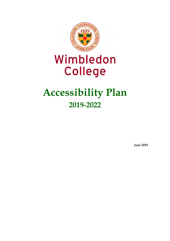

# Wimbledon **College**

## **Accessibility Plan 2019-2022**

**June 2019**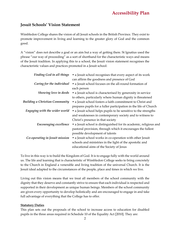## **Jesuit Schools' Vision Statement**

Wimbledon College shares the vision of all Jesuit schools in the British Province. They exist to promote improvement in living and learning to the greater glory of God and the common good.

A "vision" does not describe a goal or an aim but a way of getting there. St Ignatius used the phrase "our way of proceeding" as a sort of shorthand for the characteristic ways and means of the Jesuit tradition. In applying this to a school, the Jesuit vision statement recognises the characteristic values and practices promoted in a Jesuit school:

| Finding God in all things             | • a Jesuit school recognises that every aspect of its work         |
|---------------------------------------|--------------------------------------------------------------------|
|                                       | can affirm the goodness and presence of God                        |
| Caring for the individual             | • a Jesuit school focuses on the all-round formation of            |
|                                       | each person                                                        |
| Showing love in deeds                 | • a Jesuit school is characterised by generosity in service        |
|                                       | to others, particularly where human dignity is threatened          |
| <b>Building a Christian Community</b> | • a Jesuit school fosters a faith commitment to Christ and         |
|                                       | prepares pupils for a fuller participation in the life of Church   |
| Engaging with the wider world         | • a Jesuit school helps pupils to be sensitive to the strengths    |
|                                       | and weaknesses in contemporary society and to witness to           |
|                                       | Christ's presence in that society                                  |
| Encouraging excellence                | • a Jesuit school is distinguished for its academic, religious and |
|                                       | pastoral provision, through which it encourages the fullest        |
|                                       | possible development of talents                                    |
| Co-operating in Jesuit mission        | • a Jesuit school works in co-operation with other Jesuit          |
|                                       | schools and ministries in the light of the apostolic and           |
|                                       | educational aims of the Society of Jesus                           |
|                                       |                                                                    |

To live in this way is to build the Kingdom of God. It is to engage fully with the world around us. The life and learning that is characteristic of Wimbledon College seeks to bring concretely to the Church in England a venerable and living tradition of the universal Church. It is the Jesuit ideal adapted to the circumstances of the people, place and times in which we live.

Living out this vision means that we treat all members of the school community with the dignity that they deserve and constantly strive to ensure that each individual is respected and supported in their development as unique human beings. Members of the school community are given every opportunity to develop holistically and are encouraged to engage in and take full advantage of everything that the College has to offer.

## **Statutory Duties**

This plan sets out the proposals of the school to increase access to education for disabled pupils in the three areas required in Schedule 10 of the Equality Act [2010]. They are: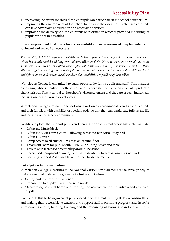- increasing the extent to which disabled pupils can participate in the school's curriculum;
- improving the environment of the school to increase the extent to which disabled pupils can take advantage of education and associated services;
- improving the delivery to disabled pupils of information which is provided in writing for pupils who are not disabled

## **It is a requirement that the school's accessibility plan is resourced, implemented and reviewed and revised as necessary.**

*The Equality Act 2010 defines a disability as "when a person has a physical or mental impairment which has a substantial and long-term adverse effect on their ability to carry out normal day-today activities". This broad description covers physical disabilities, sensory impairments, such as those affecting sight or hearing, and learning disabilities and also some specified medical conditions, HIV, multiple sclerosis and cancer are all considered as disabilities, regardless of their effect.*

Wimbledon College is committed to equal opportunity for its pupils and staff. This includes countering discrimination, both overt and otherwise, on grounds of all protected characteristics. This is central to the school's vision statement and the care of each individual, focusing on their all round development.

Wimbledon College aims to be a school which welcomes, accommodates and supports pupils and their families, with disability or special needs, so that they can participate fully in the life and learning of the school community.

Facilities in place, that support pupils and parents, prior to current accessibility plan include:

- Lift in the Music block
- Lift in the Sixth Form Centre allowing access to Sixth form Study hall
- Lift in IT Centre
- Ramp access to all curriculum areas on ground floor
- Treatment room for pupils with SEN/D, including hoists and table
- Toilets with increased accessibility around the school
- Specialised equipment allowing pupil with disability to access computer network
- Learning Support Assistants linked to specific departments

## **Participation in the curriculum**

Wimbledon College subscribes to the National Curriculum statement of the three principles that are essential to developing a more inclusive curriculum:

- Setting suitable learning challenges
- Responding to pupils' diverse learning needs
- Overcoming potential barriers to learning and assessment for individuals and groups of pupils.

It aims to do this by being aware of pupils' needs and different learning styles; recording these and making them accessible to teachers and support staff; monitoring progress; and, in so far as resourcing allows, tailoring teaching and the resourcing of learning to individual pupils'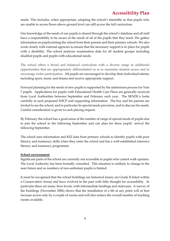## **Accessibility Plan**

needs. This includes, when appropriate, adapting the school's timetable so that pupils who are unable to access floors above ground level can still access the full curriculum.

Our knowledge of the needs of our pupils is shared through the school's database and all staff have a responsibility to be aware of the needs of all of the pupils that they teach. We gather information on pupils joining the school from their parents and their primary schools. We also work closely with external agencies to ensure that the necessary support is in place for pupils with a disability. The school analyses examination data for all student groups including disabled pupils and pupils with educational needs.

The school offers a broad and balanced curriculum with a diverse range of additional opportunities that are appropriately differentiated so as to maximise student access and to encourage wider participation. All pupils are encouraged to develop their individual talents, including sport, music and drama and receive appropriate support.

Forward planning for the needs of new pupils is supported by the admissions process for Year 7 pupils. Applications for pupils with Educational Health Care Plans are generally received from Local Authorities between September and February each year. The SENDCo looks carefully at each proposed EHCP and supporting information. The boy and his parents are invited to see the school, and in particular its special needs provision, and to discuss his needs. Careful consideration is given to each placing request.

By February the school has a good sense of the number of range of special needs of pupils due to join the school in the following September and can plan for these pupils' arrival the following September.

The school uses information and KS2 data from primary schools to identify pupils with poor literacy and numeracy skills when they enter the school and has a well-established intensive literacy and numeracy programme.

## **School environment**

Significant parts of the school are currently not accessible to pupils who cannot walk upstairs. The Local Authority has been formally consulted. This situation is unlikely to change in the near future and so numbers of non-ambulant pupils is limited.

It must be recognised that the school buildings are historical (many are Grade II listed within a Conservation Areas) and have evolved in the past with little thought for accessibility. In particular there are many floor levels, with intermediate landings and staircases. A survey of the buildings (November 2006) shows that the installation of a lift at any point will at best increase access only by a couple of rooms and will also reduce the overall number of teaching rooms available.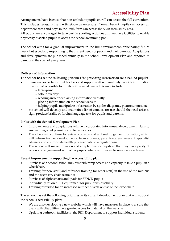## **Accessibility Plan**

Arrangements have been so that non-ambulant pupils on roll can access the full curriculum. This includes reorganising the timetable as necessary. Non-ambulant pupils can access all department areas and boys in the Sixth form can access the Sixth form study area.

All pupils are encouraged to take part in sporting activities and we have facilities to enable physically disabled pupils to access the school swimming pool.

The school aims for a gradual improvement in the built environment, anticipating future needs but especially responding to the current needs of pupils and their parents. Adaptations and developments are published annually in the School Development Plan and reported to parents at the start of every year.

## **Delivery of information**

## **The school has set the following priorities for providing information for disabled pupils:**

- there is an expectation that teachers and support staff will routinely provide information in a format accessible to pupils with special needs; this may include:
	- large-print
	- colour overlays
	- reading and/or explaining information verbally
	- placing information on the school website
	- helping pupils manipulate information by spider-diagrams, pictures, notes, etc.
- the school will develop and maintain a list of contacts for use should the need arise to sign, produce braille or foreign language text for pupils and parents.

## **Links with the School Development Plan**

- Improvements and adaptations will be incorporated into annual development plans to ensure integrated planning and to reduce cost.
- The school will continue to review provision and will seek to gather information, which will inform further developments, from students, parents/carers, relevant specialist advisers and appropriate health professionals on a regular basis.
- The school will make provision and adaptations for pupils so that they have parity of access and engagement with other pupils, wherever this can be reasonably achieved.

## **Recent improvements supporting the accessibility plan**

- Purchase of a second school minibus with ramp access and capacity to take a pupil in a wheelchair.
- Training for new staff [and refresher training for other staff] in the use of the minibus and the necessary chair restraints
- Purchase of alphasmarts and ipads for SEN/D pupils
- Individually tailored ICT equipment for pupil with disability
- Training provided for an increased number of staff on use of the 'evac-chair'

The school has set the following priorities in its current development plan that will support the school's accessibility plan:

- We are also developing a new website which will have measures in place to ensure that users with disabilities have greater access to material on the website
- Updating bathroom facilities in the SEN Department to support individual students